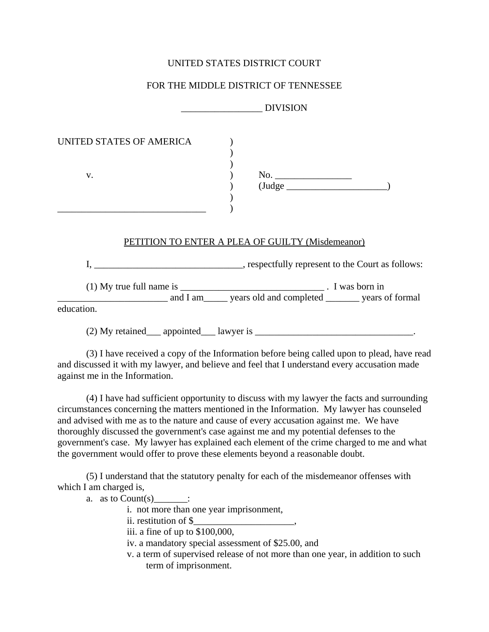## UNITED STATES DISTRICT COURT

# FOR THE MIDDLE DISTRICT OF TENNESSEE

|                          | <b>DIVISION</b>                                                |
|--------------------------|----------------------------------------------------------------|
| UNITED STATES OF AMERICA |                                                                |
| V.                       | No.<br>$(\text{Judge}$                                         |
|                          | PETITION TO ENTER A PLEA OF GUILTY (Misdemeanor)               |
|                          |                                                                |
| education.               | and I am _____ years old and completed _______ years of formal |
| $(2)$ My retained        | appointed lawyer is                                            |

(3) I have received a copy of the Information before being called upon to plead, have read and discussed it with my lawyer, and believe and feel that I understand every accusation made against me in the Information.

(4) I have had sufficient opportunity to discuss with my lawyer the facts and surrounding circumstances concerning the matters mentioned in the Information. My lawyer has counseled and advised with me as to the nature and cause of every accusation against me. We have thoroughly discussed the government's case against me and my potential defenses to the government's case. My lawyer has explained each element of the crime charged to me and what the government would offer to prove these elements beyond a reasonable doubt.

(5) I understand that the statutory penalty for each of the misdemeanor offenses with which I am charged is,

a. as to Count $(s)$  :

i. not more than one year imprisonment,

ii. restitution of \$

iii. a fine of up to \$100,000,

iv. a mandatory special assessment of \$25.00, and

 v. a term of supervised release of not more than one year, in addition to such term of imprisonment.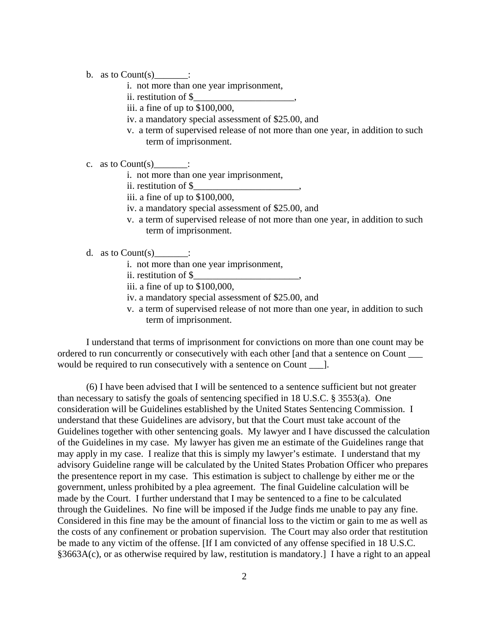- b. as to  $Count(s)$  :
	- i. not more than one year imprisonment,
	- ii. restitution of \$\_\_\_\_\_\_\_\_\_\_\_\_\_\_\_\_\_\_\_\_\_,
	- iii. a fine of up to \$100,000,
	- iv. a mandatory special assessment of \$25.00, and
	- v. a term of supervised release of not more than one year, in addition to such term of imprisonment.
- c. as to  $Count(s)$  :
	- i. not more than one year imprisonment,
	- ii. restitution of \$\_\_\_\_\_\_\_\_\_\_\_\_\_\_\_\_\_\_\_\_\_\_,
	- iii. a fine of up to \$100,000,
	- iv. a mandatory special assessment of \$25.00, and
	- v. a term of supervised release of not more than one year, in addition to such term of imprisonment.
- d. as to  $Count(s)$  :
	- i. not more than one year imprisonment,
	- ii. restitution of \$\_\_\_\_\_\_\_\_\_\_\_\_\_\_\_\_\_\_\_\_\_\_,
	- iii. a fine of up to \$100,000,
	- iv. a mandatory special assessment of \$25.00, and
	- v. a term of supervised release of not more than one year, in addition to such term of imprisonment.

I understand that terms of imprisonment for convictions on more than one count may be ordered to run concurrently or consecutively with each other [and that a sentence on Count \_\_\_ would be required to run consecutively with a sentence on Count [1].

(6) I have been advised that I will be sentenced to a sentence sufficient but not greater than necessary to satisfy the goals of sentencing specified in 18 U.S.C. § 3553(a). One consideration will be Guidelines established by the United States Sentencing Commission. I understand that these Guidelines are advisory, but that the Court must take account of the Guidelines together with other sentencing goals. My lawyer and I have discussed the calculation of the Guidelines in my case. My lawyer has given me an estimate of the Guidelines range that may apply in my case. I realize that this is simply my lawyer's estimate. I understand that my advisory Guideline range will be calculated by the United States Probation Officer who prepares the presentence report in my case. This estimation is subject to challenge by either me or the government, unless prohibited by a plea agreement. The final Guideline calculation will be made by the Court. I further understand that I may be sentenced to a fine to be calculated through the Guidelines. No fine will be imposed if the Judge finds me unable to pay any fine. Considered in this fine may be the amount of financial loss to the victim or gain to me as well as the costs of any confinement or probation supervision. The Court may also order that restitution be made to any victim of the offense. [If I am convicted of any offense specified in 18 U.S.C. §3663A(c), or as otherwise required by law, restitution is mandatory.] I have a right to an appeal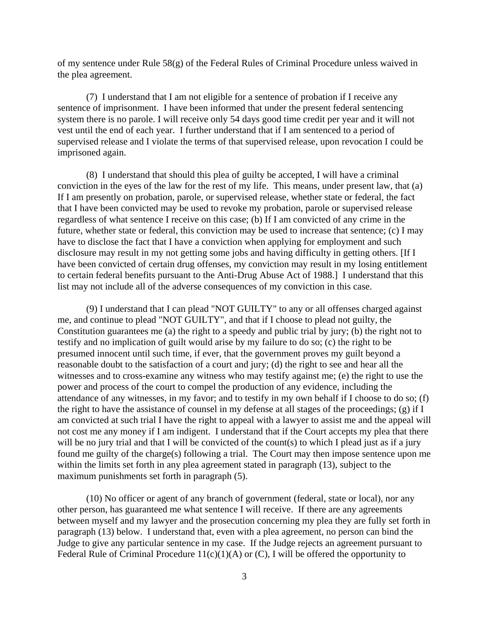of my sentence under Rule  $58(g)$  of the Federal Rules of Criminal Procedure unless waived in the plea agreement.

(7) I understand that I am not eligible for a sentence of probation if I receive any sentence of imprisonment. I have been informed that under the present federal sentencing system there is no parole. I will receive only 54 days good time credit per year and it will not vest until the end of each year. I further understand that if I am sentenced to a period of supervised release and I violate the terms of that supervised release, upon revocation I could be imprisoned again.

(8) I understand that should this plea of guilty be accepted, I will have a criminal conviction in the eyes of the law for the rest of my life. This means, under present law, that (a) If I am presently on probation, parole, or supervised release, whether state or federal, the fact that I have been convicted may be used to revoke my probation, parole or supervised release regardless of what sentence I receive on this case; (b) If I am convicted of any crime in the future, whether state or federal, this conviction may be used to increase that sentence; (c) I may have to disclose the fact that I have a conviction when applying for employment and such disclosure may result in my not getting some jobs and having difficulty in getting others. [If I have been convicted of certain drug offenses, my conviction may result in my losing entitlement to certain federal benefits pursuant to the Anti-Drug Abuse Act of 1988.] I understand that this list may not include all of the adverse consequences of my conviction in this case.

(9) I understand that I can plead "NOT GUILTY" to any or all offenses charged against me, and continue to plead "NOT GUILTY", and that if I choose to plead not guilty, the Constitution guarantees me (a) the right to a speedy and public trial by jury; (b) the right not to testify and no implication of guilt would arise by my failure to do so; (c) the right to be presumed innocent until such time, if ever, that the government proves my guilt beyond a reasonable doubt to the satisfaction of a court and jury; (d) the right to see and hear all the witnesses and to cross-examine any witness who may testify against me; (e) the right to use the power and process of the court to compel the production of any evidence, including the attendance of any witnesses, in my favor; and to testify in my own behalf if I choose to do so; (f) the right to have the assistance of counsel in my defense at all stages of the proceedings; (g) if I am convicted at such trial I have the right to appeal with a lawyer to assist me and the appeal will not cost me any money if I am indigent. I understand that if the Court accepts my plea that there will be no jury trial and that I will be convicted of the count(s) to which I plead just as if a jury found me guilty of the charge(s) following a trial. The Court may then impose sentence upon me within the limits set forth in any plea agreement stated in paragraph (13), subject to the maximum punishments set forth in paragraph (5).

(10) No officer or agent of any branch of government (federal, state or local), nor any other person, has guaranteed me what sentence I will receive. If there are any agreements between myself and my lawyer and the prosecution concerning my plea they are fully set forth in paragraph (13) below. I understand that, even with a plea agreement, no person can bind the Judge to give any particular sentence in my case. If the Judge rejects an agreement pursuant to Federal Rule of Criminal Procedure  $11(c)(1)(A)$  or  $(C)$ , I will be offered the opportunity to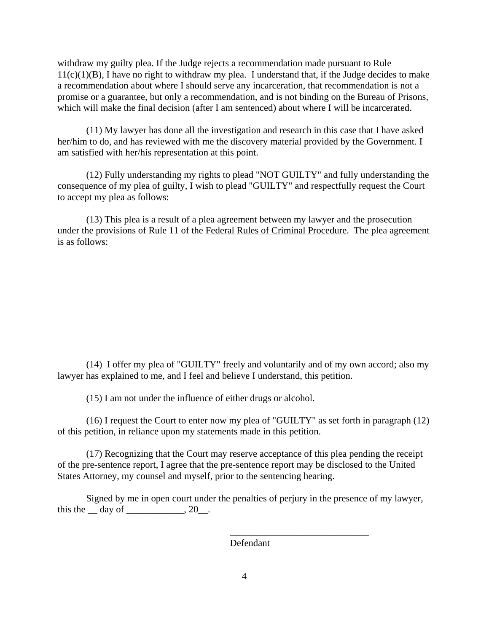withdraw my guilty plea. If the Judge rejects a recommendation made pursuant to Rule  $11(c)(1)(B)$ , I have no right to withdraw my plea. I understand that, if the Judge decides to make a recommendation about where I should serve any incarceration, that recommendation is not a promise or a guarantee, but only a recommendation, and is not binding on the Bureau of Prisons, which will make the final decision (after I am sentenced) about where I will be incarcerated.

(11) My lawyer has done all the investigation and research in this case that I have asked her/him to do, and has reviewed with me the discovery material provided by the Government. I am satisfied with her/his representation at this point.

(12) Fully understanding my rights to plead "NOT GUILTY" and fully understanding the consequence of my plea of guilty, I wish to plead "GUILTY" and respectfully request the Court to accept my plea as follows:

(13) This plea is a result of a plea agreement between my lawyer and the prosecution under the provisions of Rule 11 of the Federal Rules of Criminal Procedure. The plea agreement is as follows:

(14) I offer my plea of "GUILTY" freely and voluntarily and of my own accord; also my lawyer has explained to me, and I feel and believe I understand, this petition.

(15) I am not under the influence of either drugs or alcohol.

(16) I request the Court to enter now my plea of "GUILTY" as set forth in paragraph (12) of this petition, in reliance upon my statements made in this petition.

(17) Recognizing that the Court may reserve acceptance of this plea pending the receipt of the pre-sentence report, I agree that the pre-sentence report may be disclosed to the United States Attorney, my counsel and myself, prior to the sentencing hearing.

Signed by me in open court under the penalties of perjury in the presence of my lawyer, this the  $\_\$  day of  $\_\_\_\_\_\_\$ , 20 $\_\_\_\$ .

Defendant

\_\_\_\_\_\_\_\_\_\_\_\_\_\_\_\_\_\_\_\_\_\_\_\_\_\_\_\_\_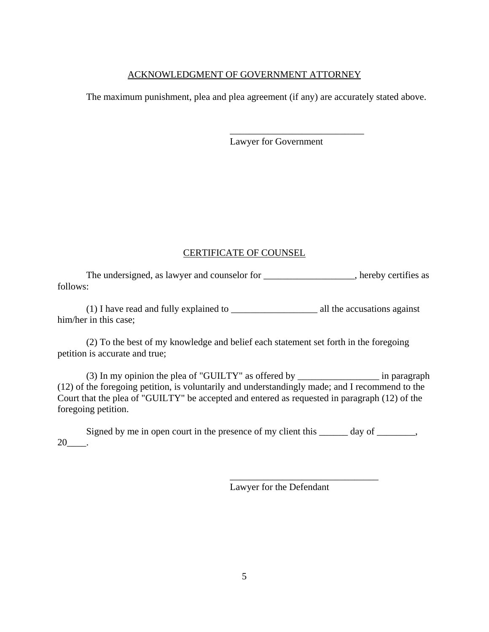### ACKNOWLEDGMENT OF GOVERNMENT ATTORNEY

The maximum punishment, plea and plea agreement (if any) are accurately stated above.

Lawyer for Government

\_\_\_\_\_\_\_\_\_\_\_\_\_\_\_\_\_\_\_\_\_\_\_\_\_\_\_\_

## CERTIFICATE OF COUNSEL

The undersigned, as lawyer and counselor for \_\_\_\_\_\_\_\_\_\_\_\_\_\_\_\_\_, hereby certifies as follows:

(1) I have read and fully explained to \_\_\_\_\_\_\_\_\_\_\_\_\_\_\_\_\_\_ all the accusations against him/her in this case;

(2) To the best of my knowledge and belief each statement set forth in the foregoing petition is accurate and true;

(3) In my opinion the plea of "GUILTY" as offered by \_\_\_\_\_\_\_\_\_\_\_\_\_\_\_\_\_ in paragraph (12) of the foregoing petition, is voluntarily and understandingly made; and I recommend to the Court that the plea of "GUILTY" be accepted and entered as requested in paragraph (12) of the foregoing petition.

Signed by me in open court in the presence of my client this \_\_\_\_\_\_ day of \_\_\_\_\_\_,  $20$ \_\_\_\_\_.

Lawyer for the Defendant

\_\_\_\_\_\_\_\_\_\_\_\_\_\_\_\_\_\_\_\_\_\_\_\_\_\_\_\_\_\_\_